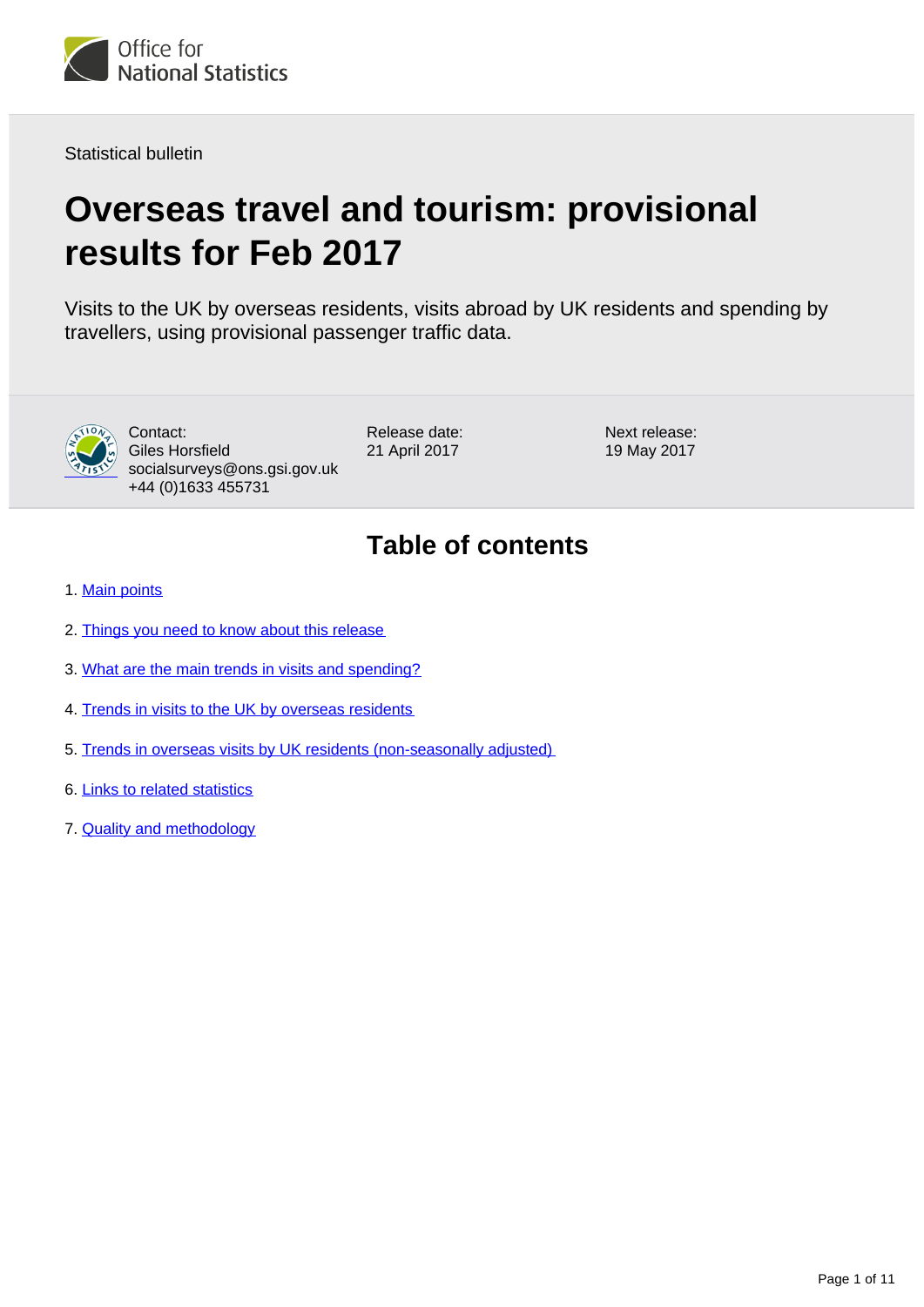

Statistical bulletin

# **Overseas travel and tourism: provisional results for Feb 2017**

Visits to the UK by overseas residents, visits abroad by UK residents and spending by travellers, using provisional passenger traffic data.



Contact: Giles Horsfield socialsurveys@ons.gsi.gov.uk +44 (0)1633 455731

Release date: 21 April 2017

Next release: 19 May 2017

## **Table of contents**

- 1. [Main points](#page-1-0)
- 2. [Things you need to know about this release](#page-1-1)
- 3. [What are the main trends in visits and spending?](#page-2-0)
- 4. [Trends in visits to the UK by overseas residents](#page-3-0)
- 5. [Trends in overseas visits by UK residents \(non-seasonally adjusted\)](#page-5-0)
- 6. [Links to related statistics](#page-7-0)
- 7. [Quality and methodology](#page-8-0)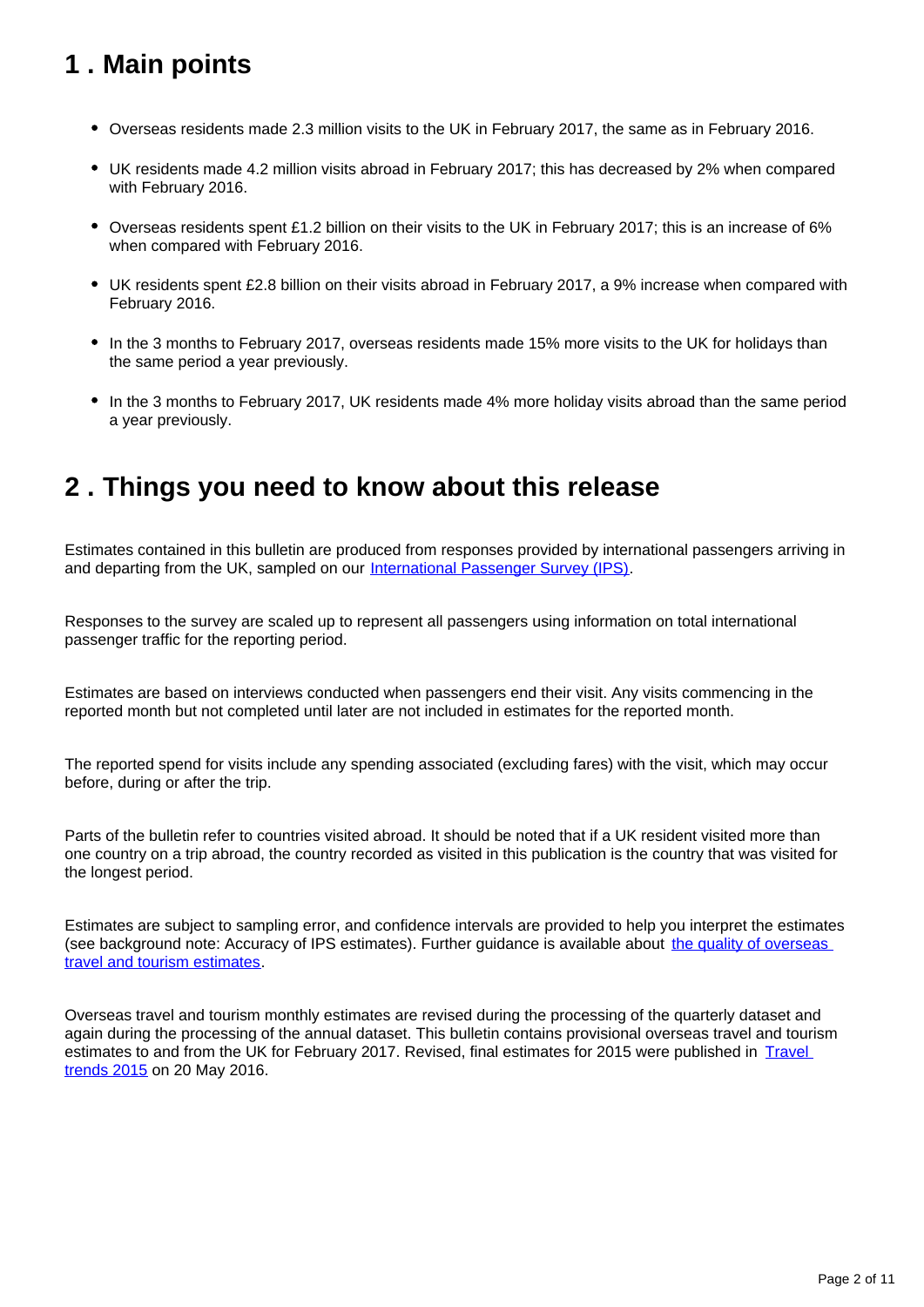## <span id="page-1-0"></span>**1 . Main points**

- Overseas residents made 2.3 million visits to the UK in February 2017, the same as in February 2016.
- UK residents made 4.2 million visits abroad in February 2017; this has decreased by 2% when compared with February 2016.
- Overseas residents spent £1.2 billion on their visits to the UK in February 2017; this is an increase of 6% when compared with February 2016.
- UK residents spent £2.8 billion on their visits abroad in February 2017, a 9% increase when compared with February 2016.
- In the 3 months to February 2017, overseas residents made 15% more visits to the UK for holidays than the same period a year previously.
- In the 3 months to February 2017, UK residents made 4% more holiday visits abroad than the same period a year previously.

### <span id="page-1-1"></span>**2 . Things you need to know about this release**

Estimates contained in this bulletin are produced from responses provided by international passengers arriving in and departing from the UK, sampled on our [International Passenger Survey \(IPS\).](http://www.ons.gov.uk/peoplepopulationandcommunity/leisureandtourism/qmis/internationalpassengersurveyipsqmi)

Responses to the survey are scaled up to represent all passengers using information on total international passenger traffic for the reporting period.

Estimates are based on interviews conducted when passengers end their visit. Any visits commencing in the reported month but not completed until later are not included in estimates for the reported month.

The reported spend for visits include any spending associated (excluding fares) with the visit, which may occur before, during or after the trip.

Parts of the bulletin refer to countries visited abroad. It should be noted that if a UK resident visited more than one country on a trip abroad, the country recorded as visited in this publication is the country that was visited for the longest period.

Estimates are subject to sampling error, and confidence intervals are provided to help you interpret the estimates (see background note: Accuracy of IPS estimates). Further guidance is available about [the quality of overseas](http://www.ons.gov.uk/peoplepopulationandcommunity/leisureandtourism/qmis/internationalpassengersurveyipsqmi)  [travel and tourism estimates](http://www.ons.gov.uk/peoplepopulationandcommunity/leisureandtourism/qmis/internationalpassengersurveyipsqmi).

Overseas travel and tourism monthly estimates are revised during the processing of the quarterly dataset and again during the processing of the annual dataset. This bulletin contains provisional overseas travel and tourism estimates to and from the UK for February 2017. Revised, final estimates for 2015 were published in Travel [trends 2015](https://www.ons.gov.uk/releases/traveltrends2015) on 20 May 2016.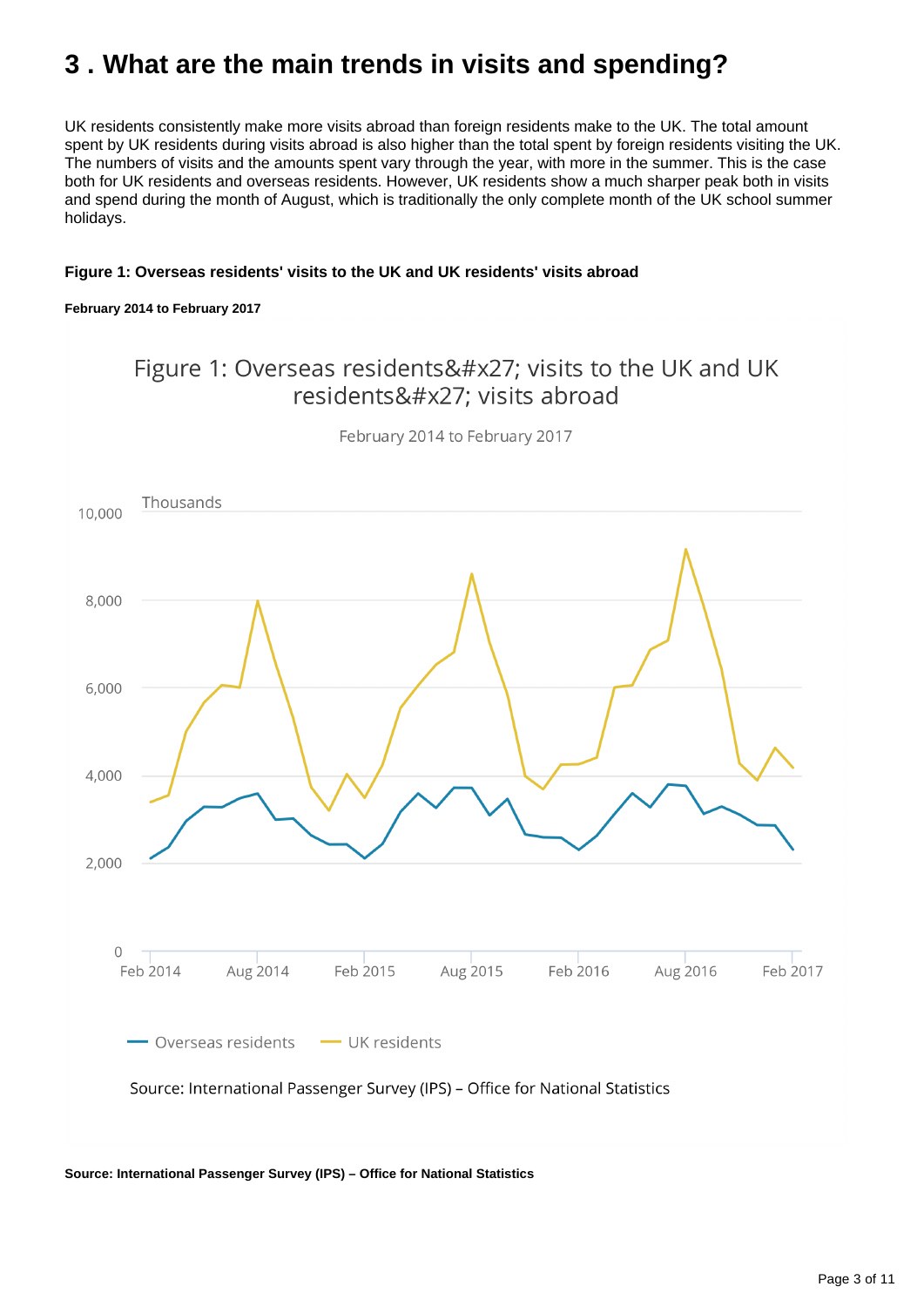## <span id="page-2-0"></span>**3 . What are the main trends in visits and spending?**

UK residents consistently make more visits abroad than foreign residents make to the UK. The total amount spent by UK residents during visits abroad is also higher than the total spent by foreign residents visiting the UK. The numbers of visits and the amounts spent vary through the year, with more in the summer. This is the case both for UK residents and overseas residents. However, UK residents show a much sharper peak both in visits and spend during the month of August, which is traditionally the only complete month of the UK school summer holidays.

#### **Figure 1: Overseas residents' visits to the UK and UK residents' visits abroad**

#### **February 2014 to February 2017**

### Figure 1: Overseas residents' visits to the UK and UK residents&#x27: visits abroad



February 2014 to February 2017

**Source: International Passenger Survey (IPS) – Office for National Statistics**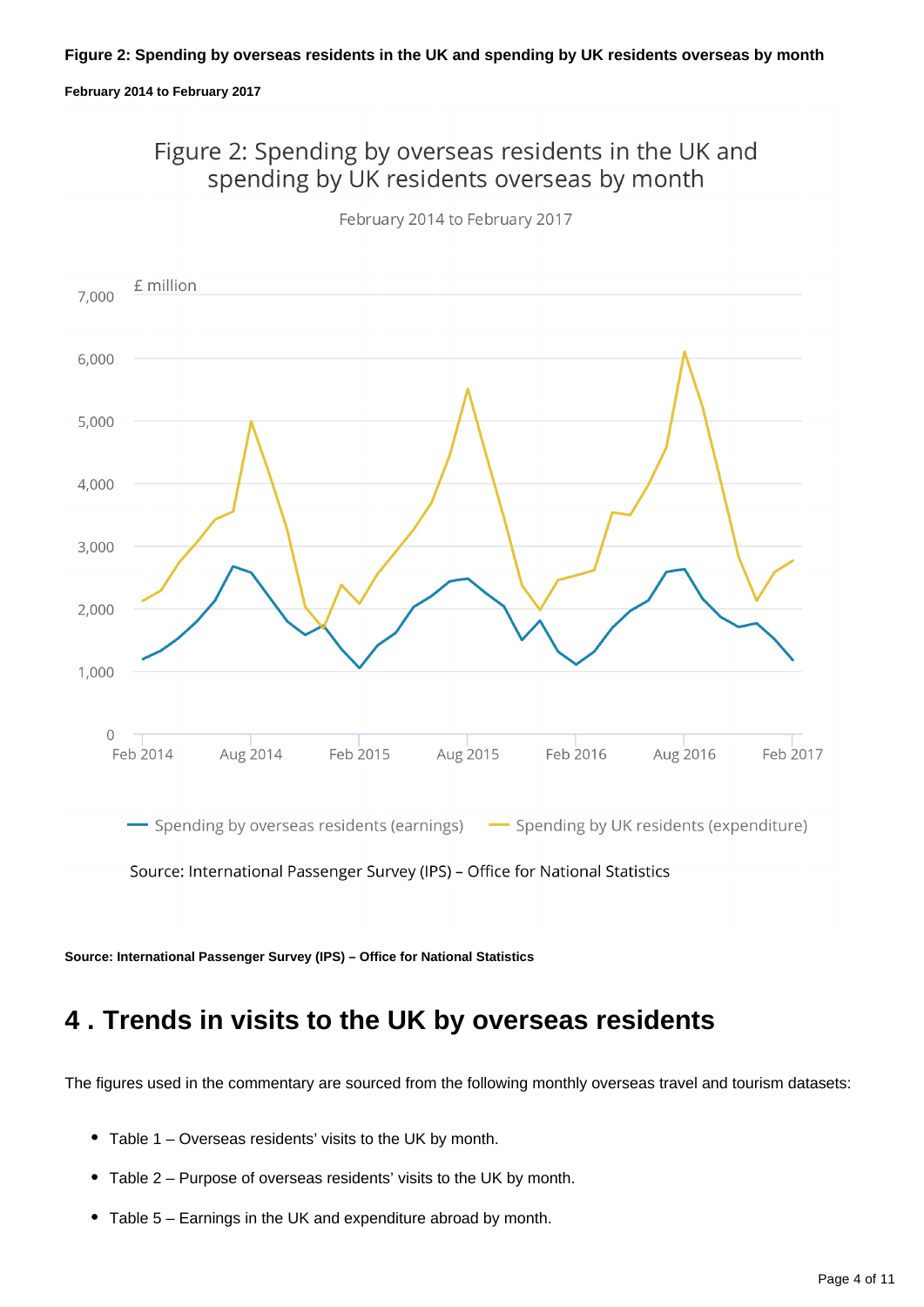#### **Figure 2: Spending by overseas residents in the UK and spending by UK residents overseas by month**

#### **February 2014 to February 2017**

Figure 2: Spending by overseas residents in the UK and spending by UK residents overseas by month



February 2014 to February 2017

**Source: International Passenger Survey (IPS) – Office for National Statistics**

### <span id="page-3-0"></span>**4 . Trends in visits to the UK by overseas residents**

The figures used in the commentary are sourced from the following monthly overseas travel and tourism datasets:

- Table 1 Overseas residents' visits to the UK by month.
- Table 2 Purpose of overseas residents' visits to the UK by month.
- Table 5 Earnings in the UK and expenditure abroad by month.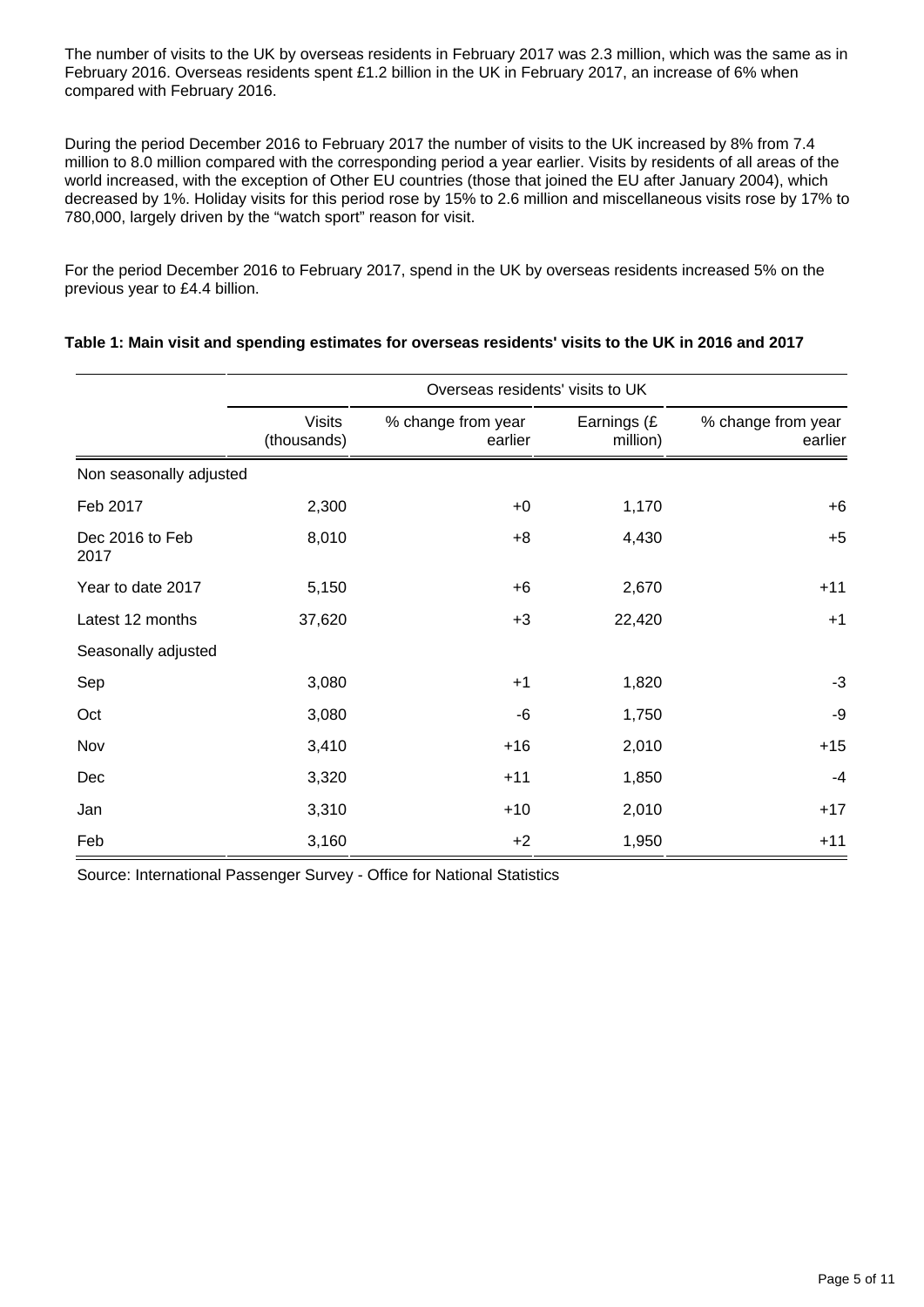The number of visits to the UK by overseas residents in February 2017 was 2.3 million, which was the same as in February 2016. Overseas residents spent £1.2 billion in the UK in February 2017, an increase of 6% when compared with February 2016.

During the period December 2016 to February 2017 the number of visits to the UK increased by 8% from 7.4 million to 8.0 million compared with the corresponding period a year earlier. Visits by residents of all areas of the world increased, with the exception of Other EU countries (those that joined the EU after January 2004), which decreased by 1%. Holiday visits for this period rose by 15% to 2.6 million and miscellaneous visits rose by 17% to 780,000, largely driven by the "watch sport" reason for visit.

For the period December 2016 to February 2017, spend in the UK by overseas residents increased 5% on the previous year to £4.4 billion.

|                         | Overseas residents' visits to UK |                               |                         |                               |  |
|-------------------------|----------------------------------|-------------------------------|-------------------------|-------------------------------|--|
|                         | <b>Visits</b><br>(thousands)     | % change from year<br>earlier | Earnings (£<br>million) | % change from year<br>earlier |  |
| Non seasonally adjusted |                                  |                               |                         |                               |  |
| Feb 2017                | 2,300                            | $+0$                          | 1,170                   | $+6$                          |  |
| Dec 2016 to Feb<br>2017 | 8,010                            | $+8$                          | 4,430                   | $+5$                          |  |
| Year to date 2017       | 5,150                            | $+6$                          | 2,670                   | $+11$                         |  |
| Latest 12 months        | 37,620                           | $+3$                          | 22,420                  | $+1$                          |  |
| Seasonally adjusted     |                                  |                               |                         |                               |  |
| Sep                     | 3,080                            | $+1$                          | 1,820                   | $-3$                          |  |
| Oct                     | 3,080                            | -6                            | 1,750                   | -9                            |  |
| Nov                     | 3,410                            | $+16$                         | 2,010                   | $+15$                         |  |
| Dec                     | 3,320                            | $+11$                         | 1,850                   | $-4$                          |  |
| Jan                     | 3,310                            | $+10$                         | 2,010                   | $+17$                         |  |
| Feb                     | 3,160                            | $+2$                          | 1,950                   | $+11$                         |  |

#### **Table 1: Main visit and spending estimates for overseas residents' visits to the UK in 2016 and 2017**

Source: International Passenger Survey - Office for National Statistics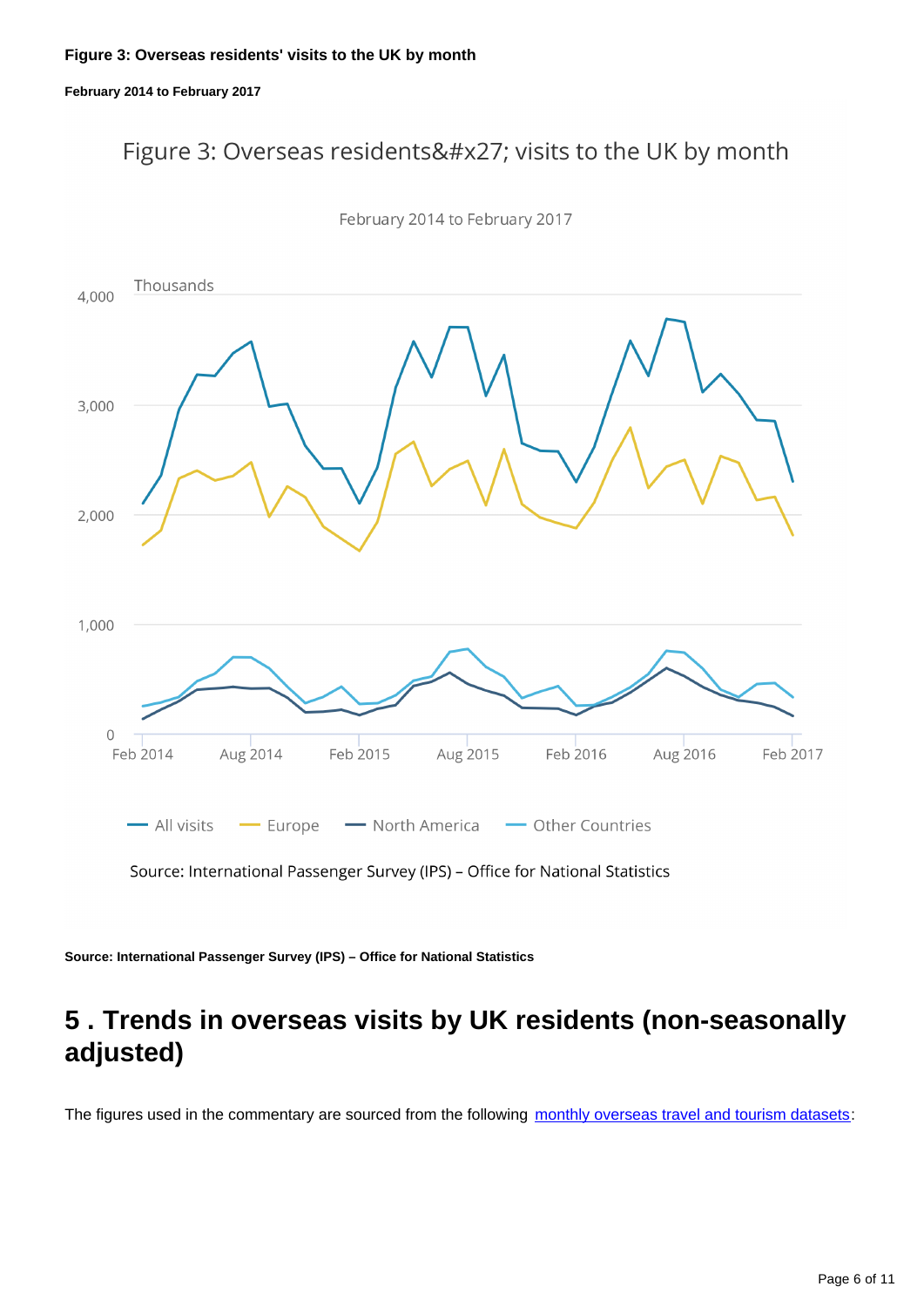#### **Figure 3: Overseas residents' visits to the UK by month**

#### **February 2014 to February 2017**

### Figure 3: Overseas residents' visits to the UK by month



February 2014 to February 2017

Source: International Passenger Survey (IPS) - Office for National Statistics

**Source: International Passenger Survey (IPS) – Office for National Statistics**

### <span id="page-5-0"></span>**5 . Trends in overseas visits by UK residents (non-seasonally adjusted)**

The figures used in the commentary are sourced from the following [monthly overseas travel and tourism datasets](https://www.ons.gov.uk/peoplepopulationandcommunity/leisureandtourism/datasets/monthlyoverseastravelandtourismreferencetables):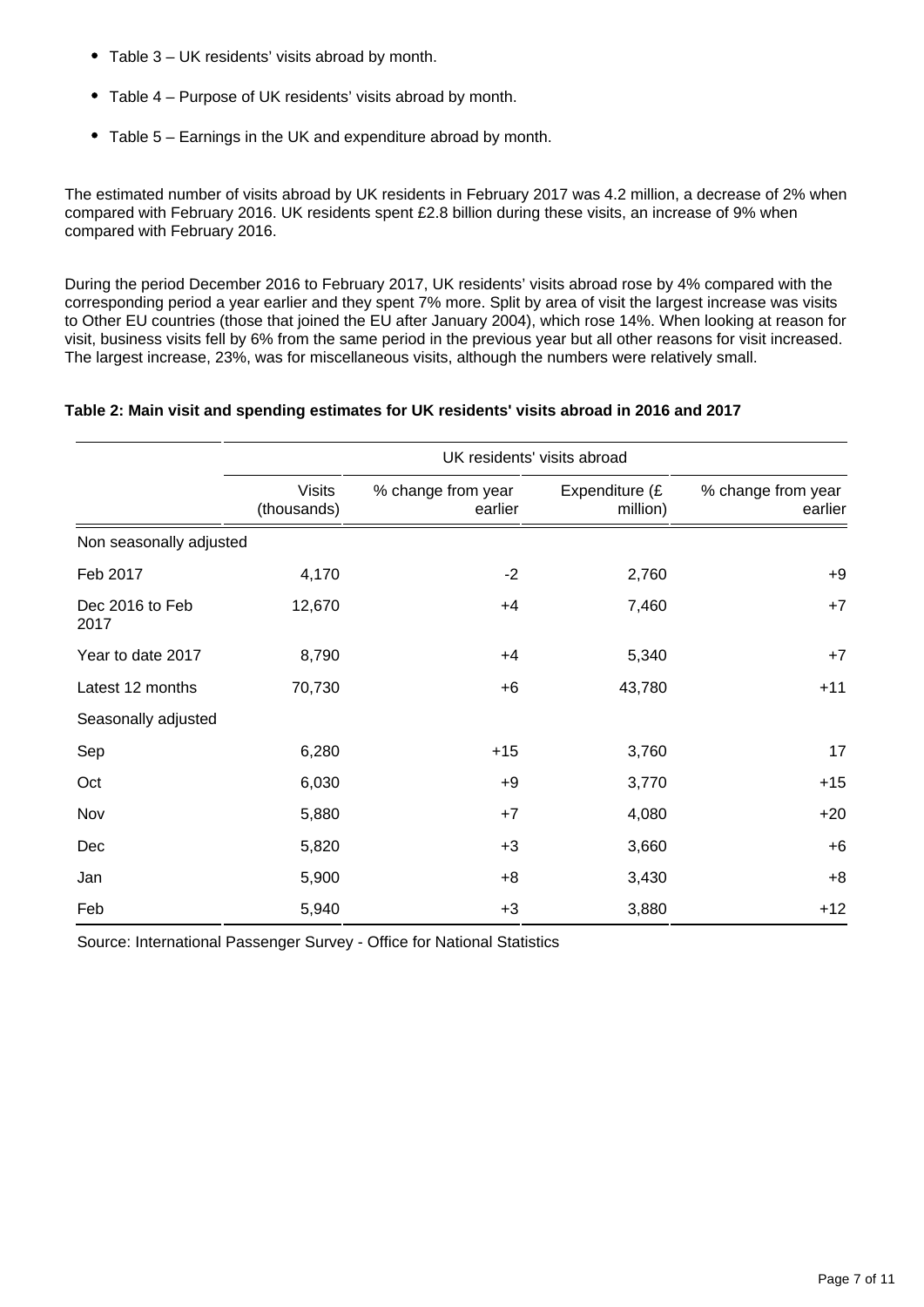- Table 3 UK residents' visits abroad by month.
- Table 4 Purpose of UK residents' visits abroad by month.
- Table 5 Earnings in the UK and expenditure abroad by month.

The estimated number of visits abroad by UK residents in February 2017 was 4.2 million, a decrease of 2% when compared with February 2016. UK residents spent £2.8 billion during these visits, an increase of 9% when compared with February 2016.

During the period December 2016 to February 2017, UK residents' visits abroad rose by 4% compared with the corresponding period a year earlier and they spent 7% more. Split by area of visit the largest increase was visits to Other EU countries (those that joined the EU after January 2004), which rose 14%. When looking at reason for visit, business visits fell by 6% from the same period in the previous year but all other reasons for visit increased. The largest increase, 23%, was for miscellaneous visits, although the numbers were relatively small.

#### **Table 2: Main visit and spending estimates for UK residents' visits abroad in 2016 and 2017**

|                         | UK residents' visits abroad  |                               |                            |                               |  |
|-------------------------|------------------------------|-------------------------------|----------------------------|-------------------------------|--|
|                         | <b>Visits</b><br>(thousands) | % change from year<br>earlier | Expenditure (£<br>million) | % change from year<br>earlier |  |
| Non seasonally adjusted |                              |                               |                            |                               |  |
| Feb 2017                | 4,170                        | $-2$                          | 2,760                      | $+9$                          |  |
| Dec 2016 to Feb<br>2017 | 12,670                       | $+4$                          | 7,460                      | $+7$                          |  |
| Year to date 2017       | 8,790                        | $+4$                          | 5,340                      | $+7$                          |  |
| Latest 12 months        | 70,730                       | $+6$                          | 43,780                     | $+11$                         |  |
| Seasonally adjusted     |                              |                               |                            |                               |  |
| Sep                     | 6,280                        | $+15$                         | 3,760                      | 17                            |  |
| Oct                     | 6,030                        | $+9$                          | 3,770                      | $+15$                         |  |
| Nov                     | 5,880                        | $+7$                          | 4,080                      | $+20$                         |  |
| Dec                     | 5,820                        | $+3$                          | 3,660                      | $+6$                          |  |
| Jan                     | 5,900                        | $+8$                          | 3,430                      | $+8$                          |  |
| Feb                     | 5,940                        | $+3$                          | 3,880                      | $+12$                         |  |

Source: International Passenger Survey - Office for National Statistics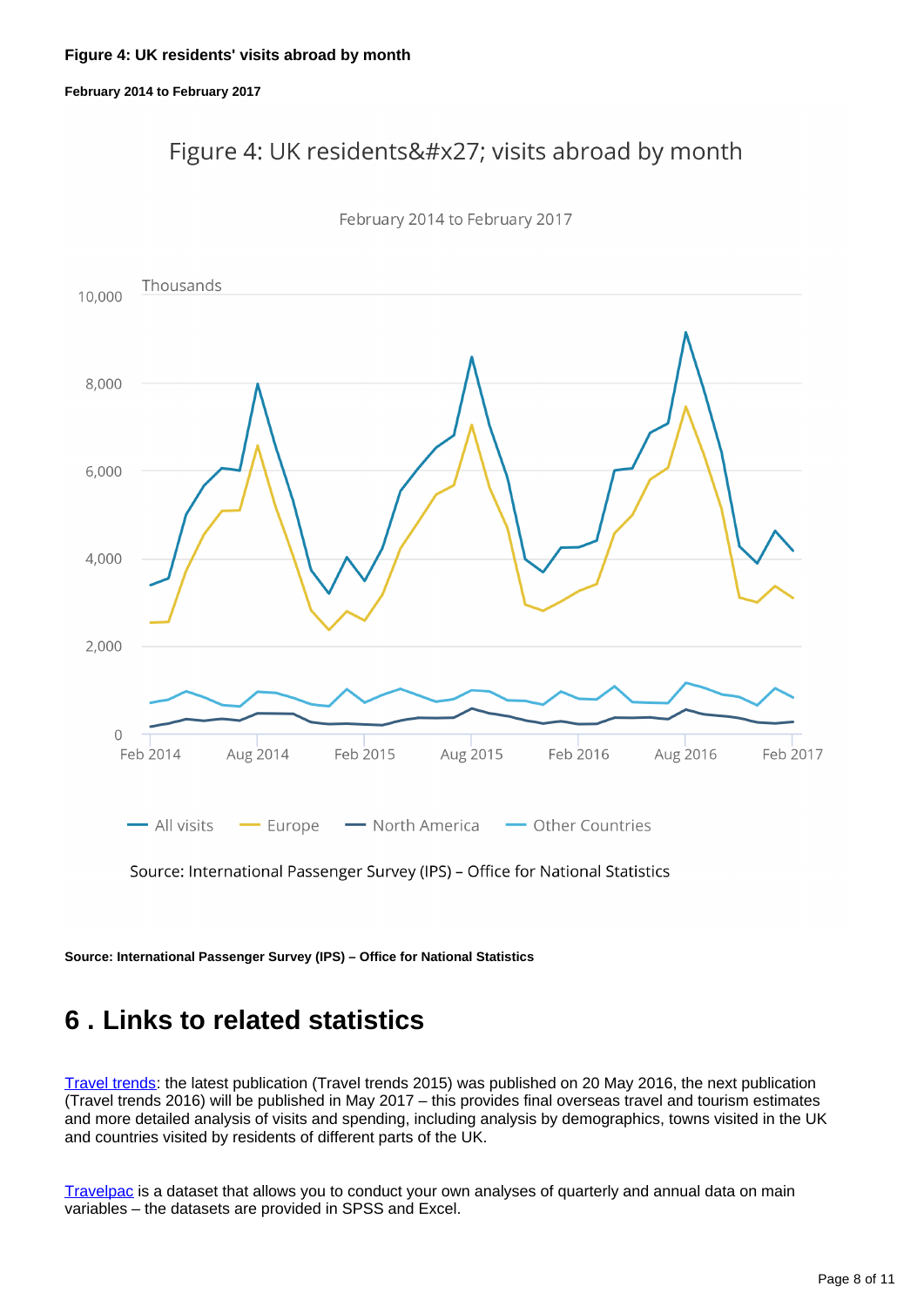#### **Figure 4: UK residents' visits abroad by month**

#### **February 2014 to February 2017**

### Figure 4: UK residents' visits abroad by month



February 2014 to February 2017

Source: International Passenger Survey (IPS) - Office for National Statistics

**Source: International Passenger Survey (IPS) – Office for National Statistics**

### <span id="page-7-0"></span>**6 . Links to related statistics**

[Travel trends:](http://www.ons.gov.uk/peoplepopulationandcommunity/leisureandtourism/articles/traveltrends/previousReleases) the latest publication (Travel trends 2015) was published on 20 May 2016, the next publication (Travel trends 2016) will be published in May 2017 – this provides final overseas travel and tourism estimates and more detailed analysis of visits and spending, including analysis by demographics, towns visited in the UK and countries visited by residents of different parts of the UK.

[Travelpac](http://www.ons.gov.uk/peoplepopulationandcommunity/leisureandtourism/datasets/travelpac) is a dataset that allows you to conduct your own analyses of quarterly and annual data on main variables – the datasets are provided in SPSS and Excel.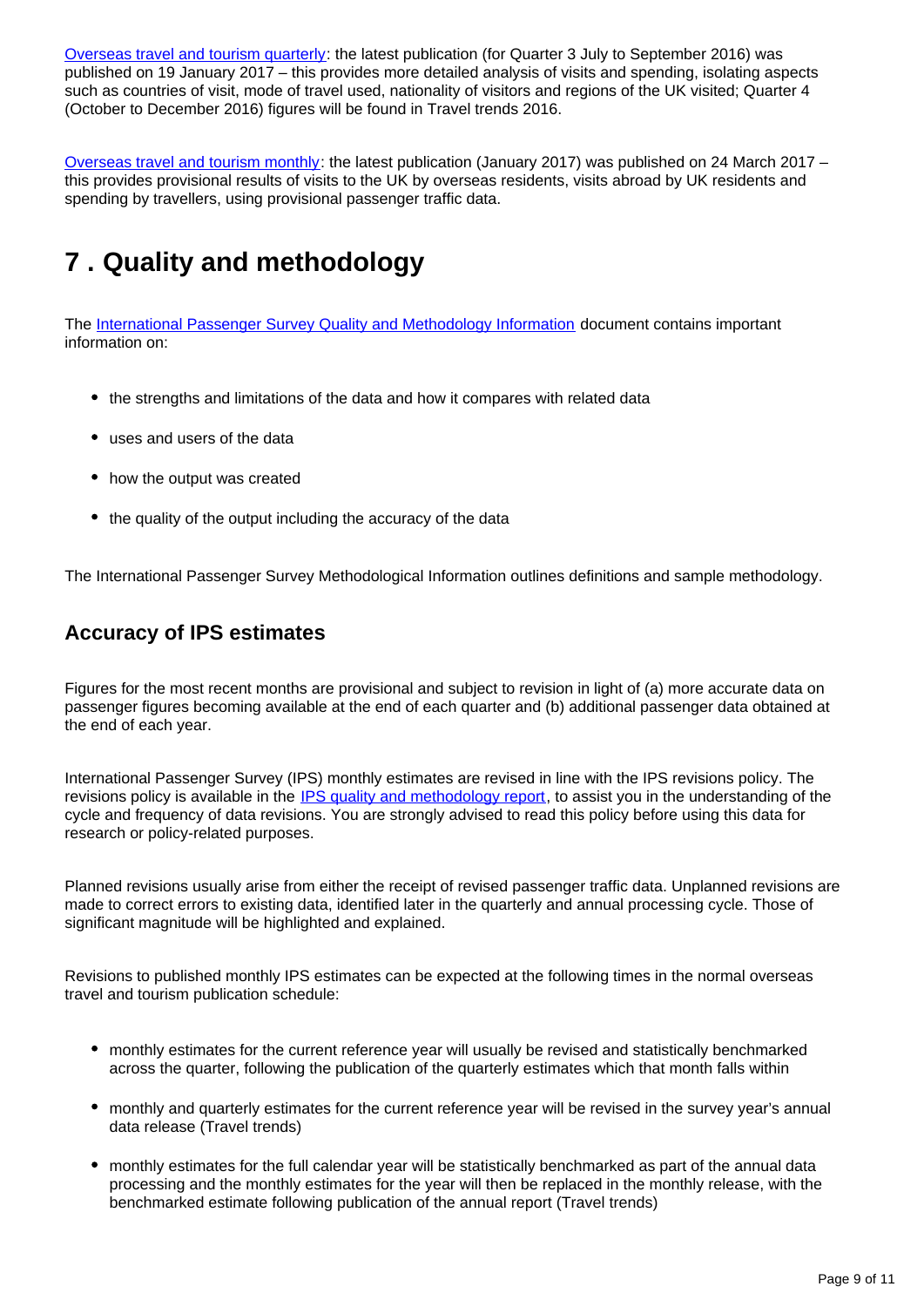[Overseas travel and tourism quarterly](http://www.ons.gov.uk/peoplepopulationandcommunity/leisureandtourism/articles/overseastravelandtourismprovisionalresults/previousReleases): the latest publication (for Quarter 3 July to September 2016) was published on 19 January 2017 – this provides more detailed analysis of visits and spending, isolating aspects such as countries of visit, mode of travel used, nationality of visitors and regions of the UK visited; Quarter 4 (October to December 2016) figures will be found in Travel trends 2016.

[Overseas travel and tourism monthly:](https://www.ons.gov.uk/peoplepopulationandcommunity/leisureandtourism/bulletins/overseastravelandtourism/previousReleases) the latest publication (January 2017) was published on 24 March 2017 – this provides provisional results of visits to the UK by overseas residents, visits abroad by UK residents and spending by travellers, using provisional passenger traffic data.

## <span id="page-8-0"></span>**7 . Quality and methodology**

The [International Passenger Survey Quality and Methodology Information](https://www.ons.gov.uk/peoplepopulationandcommunity/leisureandtourism/qmis/internationalpassengersurveyipsqmi) document contains important information on:

- the strengths and limitations of the data and how it compares with related data
- uses and users of the data
- how the output was created
- the quality of the output including the accuracy of the data

The International Passenger Survey Methodological Information outlines definitions and sample methodology.

### **Accuracy of IPS estimates**

Figures for the most recent months are provisional and subject to revision in light of (a) more accurate data on passenger figures becoming available at the end of each quarter and (b) additional passenger data obtained at the end of each year.

International Passenger Survey (IPS) monthly estimates are revised in line with the IPS revisions policy. The revisions policy is available in the [IPS quality and methodology report](http://www.ons.gov.uk/peoplepopulationandcommunity/leisureandtourism/qmis/internationalpassengersurveyipsqmi), to assist you in the understanding of the cycle and frequency of data revisions. You are strongly advised to read this policy before using this data for research or policy-related purposes.

Planned revisions usually arise from either the receipt of revised passenger traffic data. Unplanned revisions are made to correct errors to existing data, identified later in the quarterly and annual processing cycle. Those of significant magnitude will be highlighted and explained.

Revisions to published monthly IPS estimates can be expected at the following times in the normal overseas travel and tourism publication schedule:

- monthly estimates for the current reference year will usually be revised and statistically benchmarked across the quarter, following the publication of the quarterly estimates which that month falls within
- monthly and quarterly estimates for the current reference year will be revised in the survey year's annual data release (Travel trends)
- monthly estimates for the full calendar year will be statistically benchmarked as part of the annual data processing and the monthly estimates for the year will then be replaced in the monthly release, with the benchmarked estimate following publication of the annual report (Travel trends)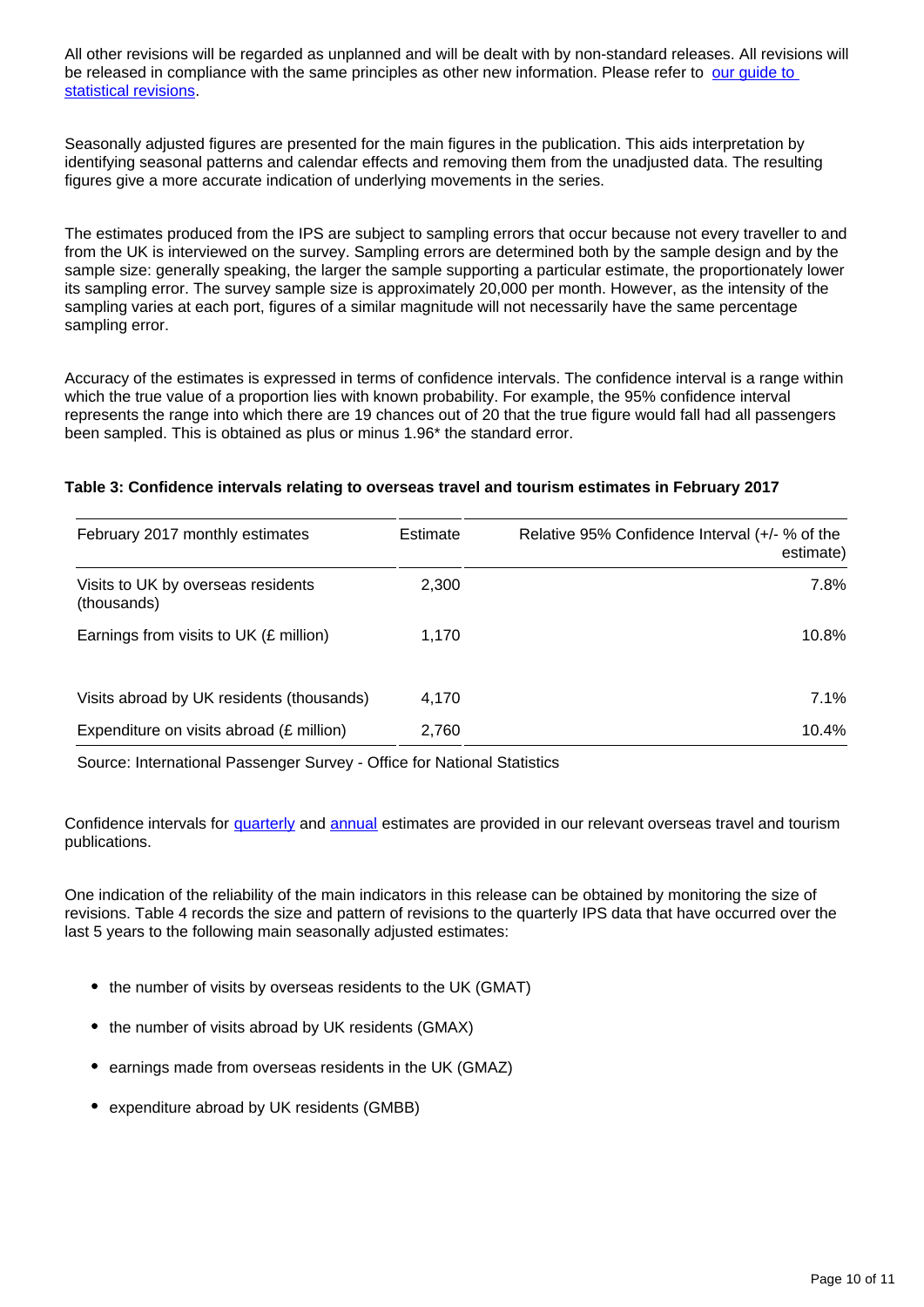All other revisions will be regarded as unplanned and will be dealt with by non-standard releases. All revisions will be released in compliance with the same principles as other new information. Please refer to our quide to [statistical revisions](http://www.ons.gov.uk/ons/guide-method/revisions/guide-to-statistical-revisions/index.html).

Seasonally adjusted figures are presented for the main figures in the publication. This aids interpretation by identifying seasonal patterns and calendar effects and removing them from the unadjusted data. The resulting figures give a more accurate indication of underlying movements in the series.

The estimates produced from the IPS are subject to sampling errors that occur because not every traveller to and from the UK is interviewed on the survey. Sampling errors are determined both by the sample design and by the sample size: generally speaking, the larger the sample supporting a particular estimate, the proportionately lower its sampling error. The survey sample size is approximately 20,000 per month. However, as the intensity of the sampling varies at each port, figures of a similar magnitude will not necessarily have the same percentage sampling error.

Accuracy of the estimates is expressed in terms of confidence intervals. The confidence interval is a range within which the true value of a proportion lies with known probability. For example, the 95% confidence interval represents the range into which there are 19 chances out of 20 that the true figure would fall had all passengers been sampled. This is obtained as plus or minus 1.96\* the standard error.

#### **Table 3: Confidence intervals relating to overseas travel and tourism estimates in February 2017**

| February 2017 monthly estimates                   | Estimate | Relative 95% Confidence Interval (+/- % of the<br>estimate) |
|---------------------------------------------------|----------|-------------------------------------------------------------|
| Visits to UK by overseas residents<br>(thousands) | 2,300    | 7.8%                                                        |
| Earnings from visits to UK (£ million)            | 1,170    | $10.8\%$                                                    |
| Visits abroad by UK residents (thousands)         | 4,170    | $7.1\%$                                                     |
| Expenditure on visits abroad (£ million)          | 2,760    | $10.4\%$                                                    |

Source: International Passenger Survey - Office for National Statistics

Confidence intervals for [quarterly](http://www.ons.gov.uk/peoplepopulationandcommunity/leisureandtourism/articles/overseastravelandtourismprovisionalresults/previousReleases) and [annual](http://www.ons.gov.uk/peoplepopulationandcommunity/leisureandtourism/articles/traveltrends/previousReleases) estimates are provided in our relevant overseas travel and tourism publications.

One indication of the reliability of the main indicators in this release can be obtained by monitoring the size of revisions. Table 4 records the size and pattern of revisions to the quarterly IPS data that have occurred over the last 5 years to the following main seasonally adjusted estimates:

- the number of visits by overseas residents to the UK (GMAT)
- the number of visits abroad by UK residents (GMAX)
- earnings made from overseas residents in the UK (GMAZ)
- expenditure abroad by UK residents (GMBB)